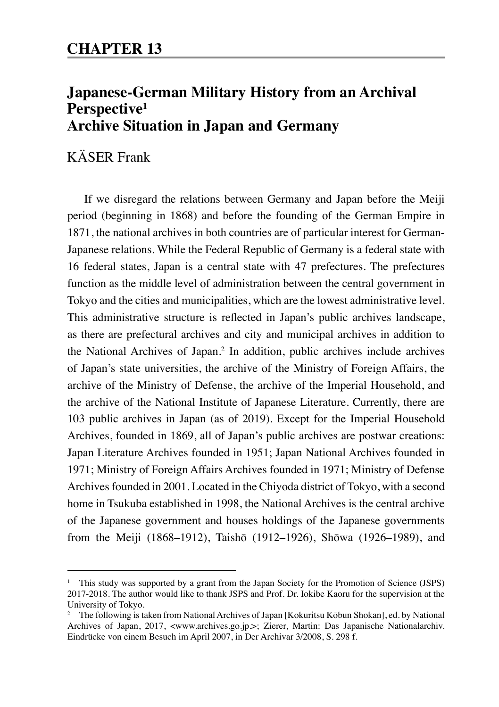# **Japanese-German Military History from an Archival Perspective1 Archive Situation in Japan and Germany**

# KÄSER Frank

If we disregard the relations between Germany and Japan before the Meiji period (beginning in 1868) and before the founding of the German Empire in 1871, the national archives in both countries are of particular interest for German-Japanese relations. While the Federal Republic of Germany is a federal state with 16 federal states, Japan is a central state with 47 prefectures. The prefectures function as the middle level of administration between the central government in Tokyo and the cities and municipalities, which are the lowest administrative level. This administrative structure is reflected in Japan's public archives landscape, as there are prefectural archives and city and municipal archives in addition to the National Archives of Japan.2 In addition, public archives include archives of Japan's state universities, the archive of the Ministry of Foreign Affairs, the archive of the Ministry of Defense, the archive of the Imperial Household, and the archive of the National Institute of Japanese Literature. Currently, there are 103 public archives in Japan (as of 2019). Except for the Imperial Household Archives, founded in 1869, all of Japan's public archives are postwar creations: Japan Literature Archives founded in 1951; Japan National Archives founded in 1971; Ministry of Foreign Affairs Archives founded in 1971; Ministry of Defense Archives founded in 2001. Located in the Chiyoda district of Tokyo, with a second home in Tsukuba established in 1998, the National Archives is the central archive of the Japanese government and houses holdings of the Japanese governments from the Meiji (1868–1912), Taishō (1912–1926), Shōwa (1926–1989), and

<sup>&</sup>lt;sup>1</sup> This study was supported by a grant from the Japan Society for the Promotion of Science (JSPS) 2017-2018. The author would like to thank JSPS and Prof. Dr. Iokibe Kaoru for the supervision at the University of Tokyo.

<sup>&</sup>lt;sup>2</sup> The following is taken from National Archives of Japan [Kokuritsu Kōbun Shokan], ed. by National Archives of Japan, 2017, <www.archives.go.jp.>; Zierer, Martin: Das Japanische Nationalarchiv. Eindrücke von einem Besuch im April 2007, in Der Archivar 3/2008, S. 298 f.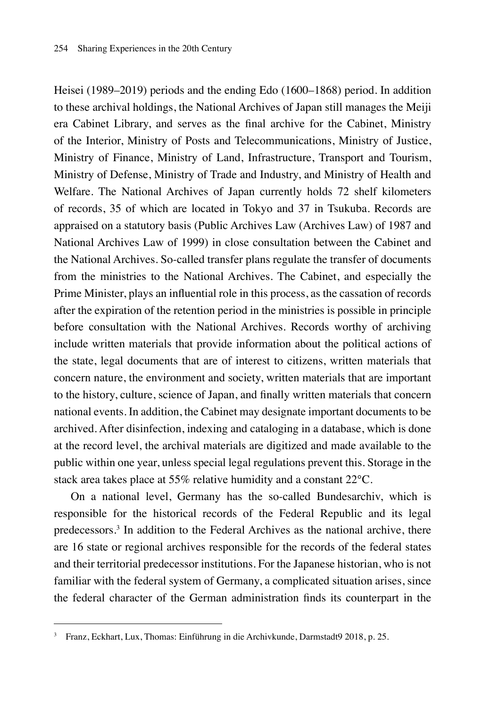Heisei (1989–2019) periods and the ending Edo (1600–1868) period. In addition to these archival holdings, the National Archives of Japan still manages the Meiji era Cabinet Library, and serves as the final archive for the Cabinet, Ministry of the Interior, Ministry of Posts and Telecommunications, Ministry of Justice, Ministry of Finance, Ministry of Land, Infrastructure, Transport and Tourism, Ministry of Defense, Ministry of Trade and Industry, and Ministry of Health and Welfare. The National Archives of Japan currently holds 72 shelf kilometers of records, 35 of which are located in Tokyo and 37 in Tsukuba. Records are appraised on a statutory basis (Public Archives Law (Archives Law) of 1987 and National Archives Law of 1999) in close consultation between the Cabinet and the National Archives. So-called transfer plans regulate the transfer of documents from the ministries to the National Archives. The Cabinet, and especially the Prime Minister, plays an influential role in this process, as the cassation of records after the expiration of the retention period in the ministries is possible in principle before consultation with the National Archives. Records worthy of archiving include written materials that provide information about the political actions of the state, legal documents that are of interest to citizens, written materials that concern nature, the environment and society, written materials that are important to the history, culture, science of Japan, and finally written materials that concern national events. In addition, the Cabinet may designate important documents to be archived. After disinfection, indexing and cataloging in a database, which is done at the record level, the archival materials are digitized and made available to the public within one year, unless special legal regulations prevent this. Storage in the stack area takes place at 55% relative humidity and a constant 22°C.

On a national level, Germany has the so-called Bundesarchiv, which is responsible for the historical records of the Federal Republic and its legal predecessors.3 In addition to the Federal Archives as the national archive, there are 16 state or regional archives responsible for the records of the federal states and their territorial predecessor institutions. For the Japanese historian, who is not familiar with the federal system of Germany, a complicated situation arises, since the federal character of the German administration finds its counterpart in the

<sup>3</sup> Franz, Eckhart, Lux, Thomas: Einführung in die Archivkunde, Darmstadt9 2018, p. 25.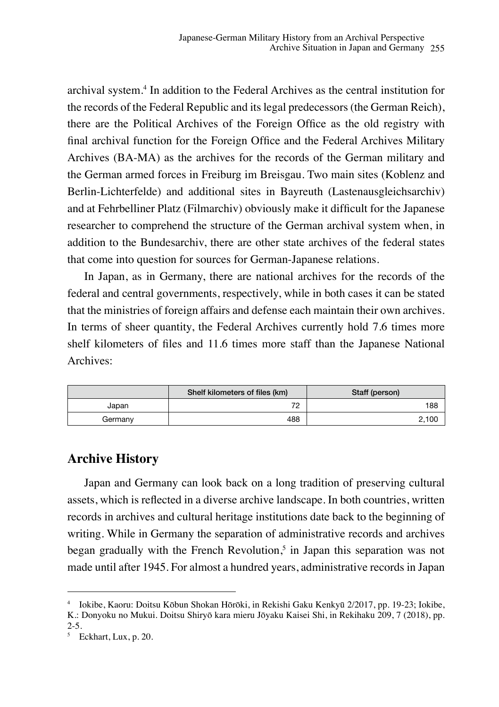archival system.4 In addition to the Federal Archives as the central institution for the records of the Federal Republic and its legal predecessors (the German Reich), there are the Political Archives of the Foreign Office as the old registry with final archival function for the Foreign Office and the Federal Archives Military Archives (BA-MA) as the archives for the records of the German military and the German armed forces in Freiburg im Breisgau. Two main sites (Koblenz and Berlin-Lichterfelde) and additional sites in Bayreuth (Lastenausgleichsarchiv) and at Fehrbelliner Platz (Filmarchiv) obviously make it difficult for the Japanese researcher to comprehend the structure of the German archival system when, in addition to the Bundesarchiv, there are other state archives of the federal states that come into question for sources for German-Japanese relations.

In Japan, as in Germany, there are national archives for the records of the federal and central governments, respectively, while in both cases it can be stated that the ministries of foreign affairs and defense each maintain their own archives. In terms of sheer quantity, the Federal Archives currently hold 7.6 times more shelf kilometers of files and 11.6 times more staff than the Japanese National Archives:

|         | Shelf kilometers of files (km) | Staff (person) |
|---------|--------------------------------|----------------|
| Japan   | 70<br>∼                        | 188            |
| Germanv | 488                            | 2,100          |

### **Archive History**

Japan and Germany can look back on a long tradition of preserving cultural assets, which is reflected in a diverse archive landscape. In both countries, written records in archives and cultural heritage institutions date back to the beginning of writing. While in Germany the separation of administrative records and archives began gradually with the French Revolution,<sup>5</sup> in Japan this separation was not made until after 1945. For almost a hundred years, administrative records in Japan

<sup>4</sup> Iokibe, Kaoru: Doitsu Kōbun Shokan Hōrōki, in Rekishi Gaku Kenkyū 2/2017, pp. 19-23; Iokibe,

K.: Donyoku no Mukui. Doitsu Shiryō kara mieru Jōyaku Kaisei Shi, in Rekihaku 209, 7 (2018), pp.  $2 - 5.$ 

<sup>5</sup> Eckhart, Lux, p. 20.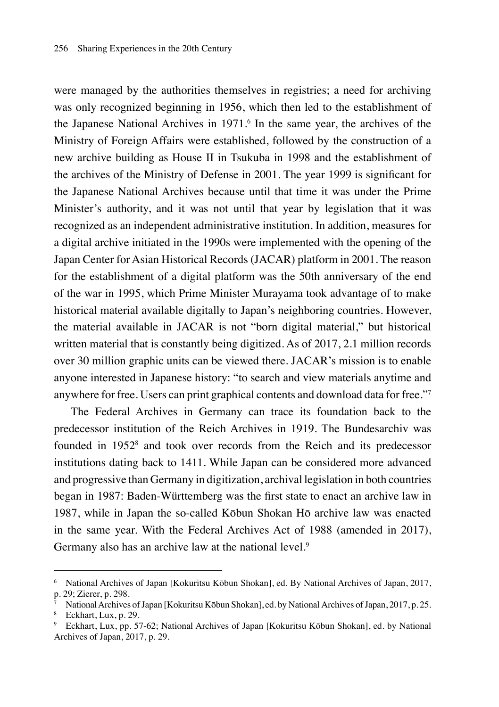were managed by the authorities themselves in registries; a need for archiving was only recognized beginning in 1956, which then led to the establishment of the Japanese National Archives in 1971.<sup>6</sup> In the same year, the archives of the Ministry of Foreign Affairs were established, followed by the construction of a new archive building as House II in Tsukuba in 1998 and the establishment of the archives of the Ministry of Defense in 2001. The year 1999 is significant for the Japanese National Archives because until that time it was under the Prime Minister's authority, and it was not until that year by legislation that it was recognized as an independent administrative institution. In addition, measures for a digital archive initiated in the 1990s were implemented with the opening of the Japan Center for Asian Historical Records (JACAR) platform in 2001. The reason for the establishment of a digital platform was the 50th anniversary of the end of the war in 1995, which Prime Minister Murayama took advantage of to make historical material available digitally to Japan's neighboring countries. However, the material available in JACAR is not "born digital material," but historical written material that is constantly being digitized. As of 2017, 2.1 million records over 30 million graphic units can be viewed there. JACAR's mission is to enable anyone interested in Japanese history: "to search and view materials anytime and anywhere for free. Users can print graphical contents and download data for free."7

The Federal Archives in Germany can trace its foundation back to the predecessor institution of the Reich Archives in 1919. The Bundesarchiv was founded in 1952<sup>8</sup> and took over records from the Reich and its predecessor institutions dating back to 1411. While Japan can be considered more advanced and progressive than Germany in digitization, archival legislation in both countries began in 1987: Baden-Württemberg was the first state to enact an archive law in 1987, while in Japan the so-called Kōbun Shokan Hō archive law was enacted in the same year. With the Federal Archives Act of 1988 (amended in 2017), Germany also has an archive law at the national level.<sup>9</sup>

<sup>6</sup> National Archives of Japan [Kokuritsu Kōbun Shokan], ed. By National Archives of Japan, 2017, p. 29; Zierer, p. 298.

<sup>7</sup> National Archives of Japan [Kokuritsu Kōbun Shokan], ed. by National Archives of Japan, 2017, p. 25.

<sup>8</sup> Eckhart, Lux, p. 29.

<sup>9</sup> Eckhart, Lux, pp. 57-62; National Archives of Japan [Kokuritsu Kōbun Shokan], ed. by National Archives of Japan, 2017, p. 29.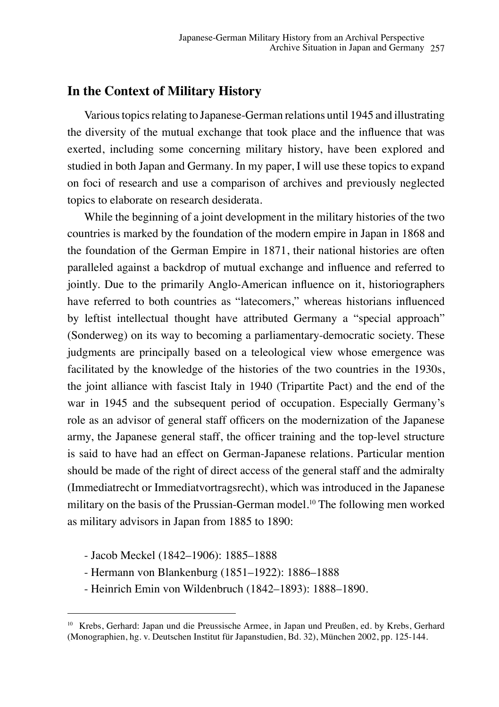#### **In the Context of Military History**

Various topics relating to Japanese-German relations until 1945 and illustrating the diversity of the mutual exchange that took place and the influence that was exerted, including some concerning military history, have been explored and studied in both Japan and Germany. In my paper, I will use these topics to expand on foci of research and use a comparison of archives and previously neglected topics to elaborate on research desiderata.

While the beginning of a joint development in the military histories of the two countries is marked by the foundation of the modern empire in Japan in 1868 and the foundation of the German Empire in 1871, their national histories are often paralleled against a backdrop of mutual exchange and influence and referred to jointly. Due to the primarily Anglo-American influence on it, historiographers have referred to both countries as "latecomers," whereas historians influenced by leftist intellectual thought have attributed Germany a "special approach" (Sonderweg) on its way to becoming a parliamentary-democratic society. These judgments are principally based on a teleological view whose emergence was facilitated by the knowledge of the histories of the two countries in the 1930s, the joint alliance with fascist Italy in 1940 (Tripartite Pact) and the end of the war in 1945 and the subsequent period of occupation. Especially Germany's role as an advisor of general staff officers on the modernization of the Japanese army, the Japanese general staff, the officer training and the top-level structure is said to have had an effect on German-Japanese relations. Particular mention should be made of the right of direct access of the general staff and the admiralty (Immediatrecht or Immediatvortragsrecht), which was introduced in the Japanese military on the basis of the Prussian-German model.10 The following men worked as military advisors in Japan from 1885 to 1890:

- Jacob Meckel (1842–1906): 1885–1888
- Hermann von Blankenburg (1851–1922): 1886–1888
- Heinrich Emin von Wildenbruch (1842–1893): 1888–1890.

<sup>10</sup> Krebs, Gerhard: Japan und die Preussische Armee, in Japan und Preußen, ed. by Krebs, Gerhard (Monographien, hg. v. Deutschen Institut für Japanstudien, Bd. 32), München 2002, pp. 125-144.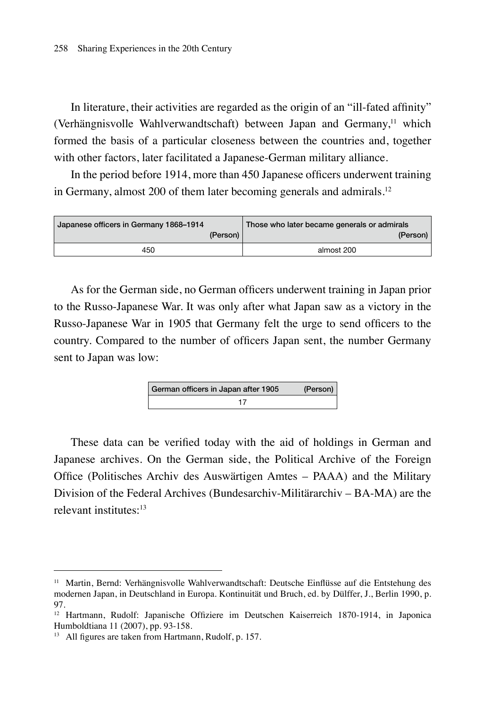In literature, their activities are regarded as the origin of an "ill-fated affinity" (Verhängnisvolle Wahlverwandtschaft) between Japan and Germany, $11$  which formed the basis of a particular closeness between the countries and, together with other factors, later facilitated a Japanese-German military alliance.

In the period before 1914, more than 450 Japanese officers underwent training in Germany, almost 200 of them later becoming generals and admirals.<sup>12</sup>

| Japanese officers in Germany 1868-1914 |          | Those who later became generals or admirals |
|----------------------------------------|----------|---------------------------------------------|
|                                        | (Person) | (Person)                                    |
| 450                                    |          | almost 200                                  |

As for the German side, no German officers underwent training in Japan prior to the Russo-Japanese War. It was only after what Japan saw as a victory in the Russo-Japanese War in 1905 that Germany felt the urge to send officers to the country. Compared to the number of officers Japan sent, the number Germany sent to Japan was low:

| German officers in Japan after 1905 | (Person) |
|-------------------------------------|----------|
|                                     |          |

These data can be verified today with the aid of holdings in German and Japanese archives. On the German side, the Political Archive of the Foreign Office (Politisches Archiv des Auswärtigen Amtes – PAAA) and the Military Division of the Federal Archives (Bundesarchiv-Militärarchiv – BA-MA) are the relevant institutes:<sup>13</sup>

<sup>11</sup> Martin, Bernd: Verhängnisvolle Wahlverwandtschaft: Deutsche Einflüsse auf die Entstehung des modernen Japan, in Deutschland in Europa. Kontinuität und Bruch, ed. by Dülffer, J., Berlin 1990, p. 97.

<sup>12</sup> Hartmann, Rudolf: Japanische Offiziere im Deutschen Kaiserreich 1870-1914, in Japonica Humboldtiana 11 (2007), pp. 93-158.

<sup>13</sup> All figures are taken from Hartmann, Rudolf, p. 157.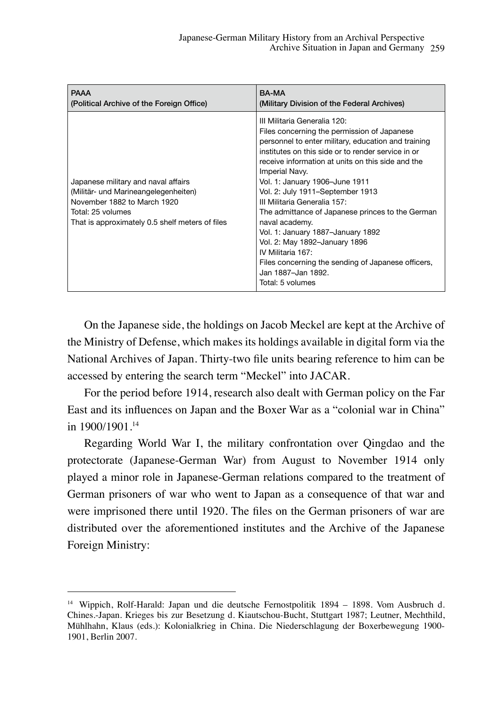| <b>PAAA</b>                                                                                                                                                                        | <b>BA-MA</b>                                                                                                                                                                                                                                                                                                                                                                                                                                                                                                                                                                                                                          |
|------------------------------------------------------------------------------------------------------------------------------------------------------------------------------------|---------------------------------------------------------------------------------------------------------------------------------------------------------------------------------------------------------------------------------------------------------------------------------------------------------------------------------------------------------------------------------------------------------------------------------------------------------------------------------------------------------------------------------------------------------------------------------------------------------------------------------------|
| (Political Archive of the Foreign Office)                                                                                                                                          | (Military Division of the Federal Archives)                                                                                                                                                                                                                                                                                                                                                                                                                                                                                                                                                                                           |
| Japanese military and naval affairs<br>(Militär- und Marineangelegenheiten)<br>November 1882 to March 1920<br>Total: 25 volumes<br>That is approximately 0.5 shelf meters of files | III Militaria Generalia 120:<br>Files concerning the permission of Japanese<br>personnel to enter military, education and training<br>institutes on this side or to render service in or<br>receive information at units on this side and the<br>Imperial Navy.<br>Vol. 1: January 1906–June 1911<br>Vol. 2: July 1911-September 1913<br>III Militaria Generalia 157:<br>The admittance of Japanese princes to the German<br>naval academy.<br>Vol. 1: January 1887-January 1892<br>Vol. 2: May 1892-January 1896<br>IV Militaria 167<br>Files concerning the sending of Japanese officers,<br>Jan 1887-Jan 1892.<br>Total: 5 volumes |

On the Japanese side, the holdings on Jacob Meckel are kept at the Archive of the Ministry of Defense, which makes its holdings available in digital form via the National Archives of Japan. Thirty-two file units bearing reference to him can be accessed by entering the search term "Meckel" into JACAR.

For the period before 1914, research also dealt with German policy on the Far East and its influences on Japan and the Boxer War as a "colonial war in China" in 1900/1901.14

Regarding World War I, the military confrontation over Qingdao and the protectorate (Japanese-German War) from August to November 1914 only played a minor role in Japanese-German relations compared to the treatment of German prisoners of war who went to Japan as a consequence of that war and were imprisoned there until 1920. The files on the German prisoners of war are distributed over the aforementioned institutes and the Archive of the Japanese Foreign Ministry:

<sup>14</sup> Wippich, Rolf-Harald: Japan und die deutsche Fernostpolitik 1894 – 1898. Vom Ausbruch d. Chines.-Japan. Krieges bis zur Besetzung d. Kiautschou-Bucht, Stuttgart 1987; Leutner, Mechthild, Mühlhahn, Klaus (eds.): Kolonialkrieg in China. Die Niederschlagung der Boxerbewegung 1900- 1901, Berlin 2007.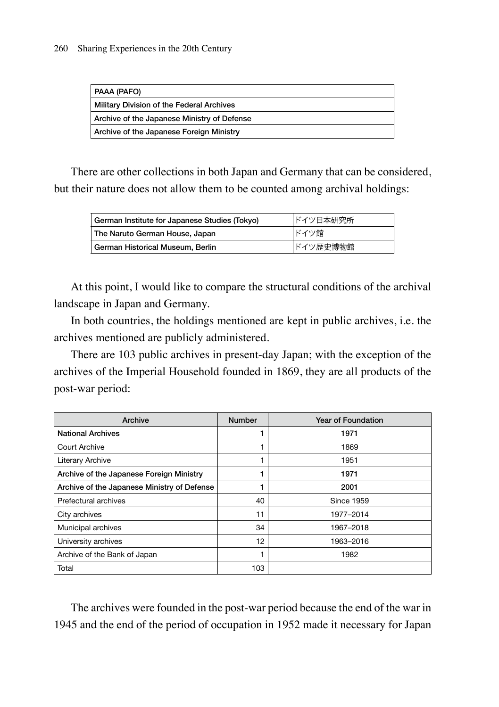| PAAA (PAFO)                                 |
|---------------------------------------------|
| Military Division of the Federal Archives   |
| Archive of the Japanese Ministry of Defense |
| Archive of the Japanese Foreign Ministry    |

There are other collections in both Japan and Germany that can be considered, but their nature does not allow them to be counted among archival holdings:

| German Institute for Japanese Studies (Tokyo) | ドイツ日本研究所 |
|-----------------------------------------------|----------|
| The Naruto German House, Japan                | ドイツ館     |
| German Historical Museum, Berlin              | ドイツ歴史博物館 |

At this point, I would like to compare the structural conditions of the archival landscape in Japan and Germany.

In both countries, the holdings mentioned are kept in public archives, i.e. the archives mentioned are publicly administered.

There are 103 public archives in present-day Japan; with the exception of the archives of the Imperial Household founded in 1869, they are all products of the post-war period:

| Archive                                     | <b>Number</b> | Year of Foundation |
|---------------------------------------------|---------------|--------------------|
| <b>National Archives</b>                    |               | 1971               |
| Court Archive                               |               | 1869               |
| Literary Archive                            |               | 1951               |
| Archive of the Japanese Foreign Ministry    |               | 1971               |
| Archive of the Japanese Ministry of Defense |               | 2001               |
| Prefectural archives                        | 40            | <b>Since 1959</b>  |
| City archives                               | 11            | 1977-2014          |
| Municipal archives                          | 34            | 1967-2018          |
| University archives                         | 12            | 1963-2016          |
| Archive of the Bank of Japan                |               | 1982               |
| Total                                       | 103           |                    |

The archives were founded in the post-war period because the end of the war in 1945 and the end of the period of occupation in 1952 made it necessary for Japan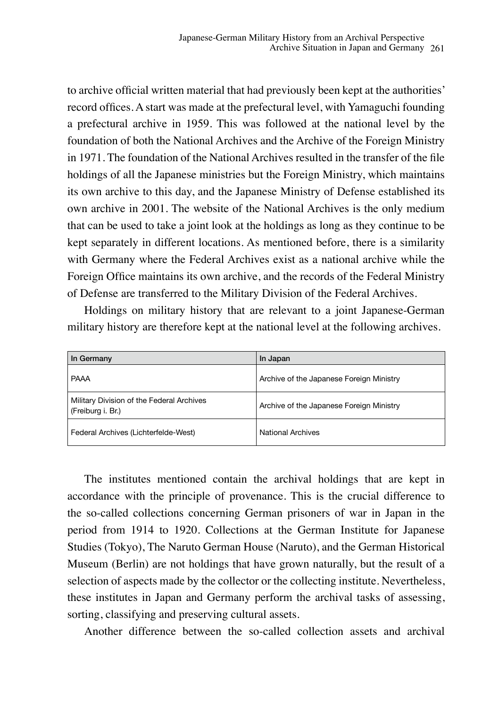to archive official written material that had previously been kept at the authorities' record offices. A start was made at the prefectural level, with Yamaguchi founding a prefectural archive in 1959. This was followed at the national level by the foundation of both the National Archives and the Archive of the Foreign Ministry in 1971. The foundation of the National Archives resulted in the transfer of the file holdings of all the Japanese ministries but the Foreign Ministry, which maintains its own archive to this day, and the Japanese Ministry of Defense established its own archive in 2001. The website of the National Archives is the only medium that can be used to take a joint look at the holdings as long as they continue to be kept separately in different locations. As mentioned before, there is a similarity with Germany where the Federal Archives exist as a national archive while the Foreign Office maintains its own archive, and the records of the Federal Ministry of Defense are transferred to the Military Division of the Federal Archives.

Holdings on military history that are relevant to a joint Japanese-German military history are therefore kept at the national level at the following archives.

| In Germany                                                     | In Japan                                 |
|----------------------------------------------------------------|------------------------------------------|
| PAAA                                                           | Archive of the Japanese Foreign Ministry |
| Military Division of the Federal Archives<br>(Freiburg i. Br.) | Archive of the Japanese Foreign Ministry |
| Federal Archives (Lichterfelde-West)                           | <b>National Archives</b>                 |

The institutes mentioned contain the archival holdings that are kept in accordance with the principle of provenance. This is the crucial difference to the so-called collections concerning German prisoners of war in Japan in the period from 1914 to 1920. Collections at the German Institute for Japanese Studies (Tokyo), The Naruto German House (Naruto), and the German Historical Museum (Berlin) are not holdings that have grown naturally, but the result of a selection of aspects made by the collector or the collecting institute. Nevertheless, these institutes in Japan and Germany perform the archival tasks of assessing, sorting, classifying and preserving cultural assets.

Another difference between the so-called collection assets and archival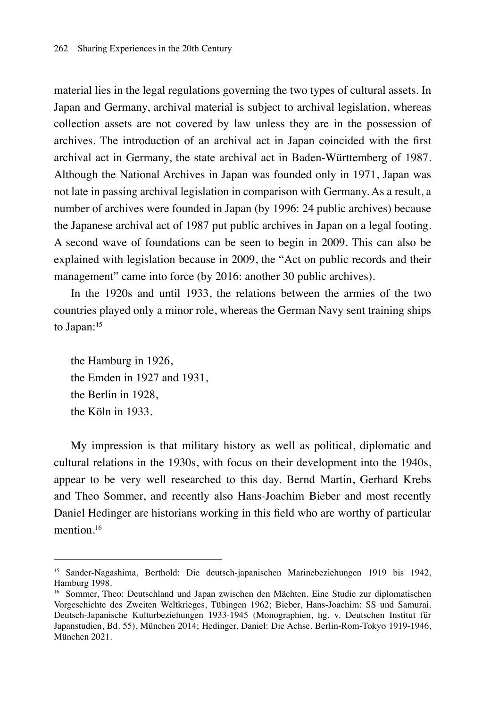material lies in the legal regulations governing the two types of cultural assets. In Japan and Germany, archival material is subject to archival legislation, whereas collection assets are not covered by law unless they are in the possession of archives. The introduction of an archival act in Japan coincided with the first archival act in Germany, the state archival act in Baden-Württemberg of 1987. Although the National Archives in Japan was founded only in 1971, Japan was not late in passing archival legislation in comparison with Germany. As a result, a number of archives were founded in Japan (by 1996: 24 public archives) because the Japanese archival act of 1987 put public archives in Japan on a legal footing. A second wave of foundations can be seen to begin in 2009. This can also be explained with legislation because in 2009, the "Act on public records and their management" came into force (by 2016: another 30 public archives).

In the 1920s and until 1933, the relations between the armies of the two countries played only a minor role, whereas the German Navy sent training ships to Japan:<sup>15</sup>

the Hamburg in 1926, the Emden in 1927 and 1931, the Berlin in 1928, the Köln in 1933.

My impression is that military history as well as political, diplomatic and cultural relations in the 1930s, with focus on their development into the 1940s, appear to be very well researched to this day. Bernd Martin, Gerhard Krebs and Theo Sommer, and recently also Hans-Joachim Bieber and most recently Daniel Hedinger are historians working in this field who are worthy of particular mention.<sup>16</sup>

<sup>15</sup> Sander-Nagashima, Berthold: Die deutsch-japanischen Marinebeziehungen 1919 bis 1942, Hamburg 1998.

<sup>16</sup> Sommer, Theo: Deutschland und Japan zwischen den Mächten. Eine Studie zur diplomatischen Vorgeschichte des Zweiten Weltkrieges, Tübingen 1962; Bieber, Hans-Joachim: SS und Samurai. Deutsch-Japanische Kulturbeziehungen 1933-1945 (Monographien, hg. v. Deutschen Institut für Japanstudien, Bd. 55), München 2014; Hedinger, Daniel: Die Achse. Berlin-Rom-Tokyo 1919-1946, München 2021.